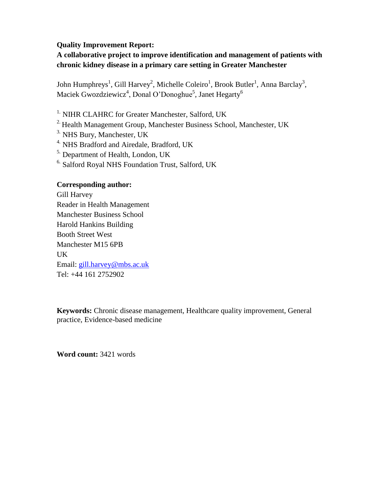## **Quality Improvement Report:**

# **A collaborative project to improve identification and management of patients with chronic kidney disease in a primary care setting in Greater Manchester**

John Humphreys<sup>1</sup>, Gill Harvey<sup>2</sup>, Michelle Coleiro<sup>1</sup>, Brook Butler<sup>1</sup>, Anna Barclay<sup>3</sup>, Maciek Gwozdziewicz<sup>4</sup>, Donal O'Donoghue<sup>5</sup>, Janet Hegarty<sup>6</sup>

- <sup>1.</sup> NIHR CLAHRC for Greater Manchester, Salford, UK
- <sup>2.</sup> Health Management Group, Manchester Business School, Manchester, UK
- <sup>3.</sup> NHS Bury, Manchester, UK
- 4. NHS Bradford and Airedale, Bradford, UK
- <sup>5.</sup> Department of Health, London, UK
- 6. Salford Royal NHS Foundation Trust, Salford, UK

## **Corresponding author:**

Gill Harvey Reader in Health Management Manchester Business School Harold Hankins Building Booth Street West Manchester M15 6PB UK Email: [gill.harvey@mbs.ac.uk](mailto:gill.harvey@mbs.ac.uk) Tel: +44 161 2752902

**Keywords:** Chronic disease management, Healthcare quality improvement, General practice, Evidence-based medicine

**Word count:** 3421 words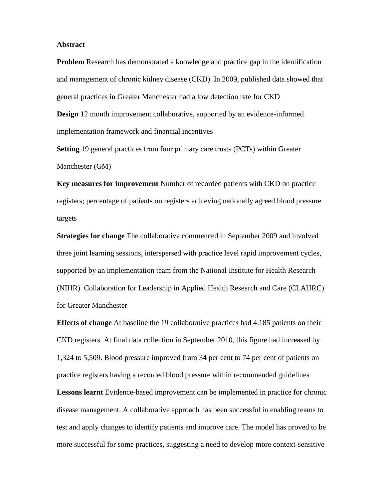#### **Abstract**

**Problem** Research has demonstrated a knowledge and practice gap in the identification and management of chronic kidney disease (CKD). In 2009, published data showed that general practices in Greater Manchester had a low detection rate for CKD **Design** 12 month improvement collaborative, supported by an evidence-informed implementation framework and financial incentives

**Setting** 19 general practices from four primary care trusts (PCTs) within Greater Manchester (GM)

**Key measures for improvement** Number of recorded patients with CKD on practice registers; percentage of patients on registers achieving nationally agreed blood pressure targets

**Strategies for change** The collaborative commenced in September 2009 and involved three joint learning sessions, interspersed with practice level rapid improvement cycles, supported by an implementation team from the National Institute for Health Research (NIHR) Collaboration for Leadership in Applied Health Research and Care (CLAHRC) for Greater Manchester

**Effects of change** At baseline the 19 collaborative practices had 4,185 patients on their CKD registers. At final data collection in September 2010, this figure had increased by 1,324 to 5,509. Blood pressure improved from 34 per cent to 74 per cent of patients on practice registers having a recorded blood pressure within recommended guidelines

**Lessons learnt** Evidence-based improvement can be implemented in practice for chronic disease management. A collaborative approach has been successful in enabling teams to test and apply changes to identify patients and improve care. The model has proved to be more successful for some practices, suggesting a need to develop more context-sensitive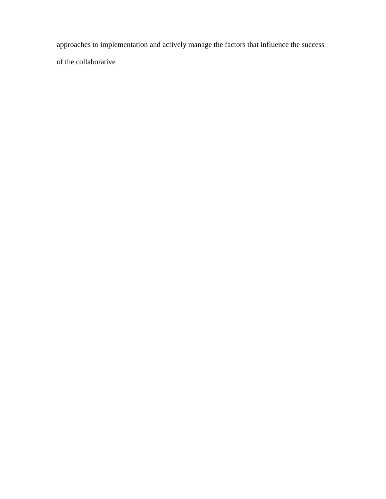approaches to implementation and actively manage the factors that influence the success of the collaborative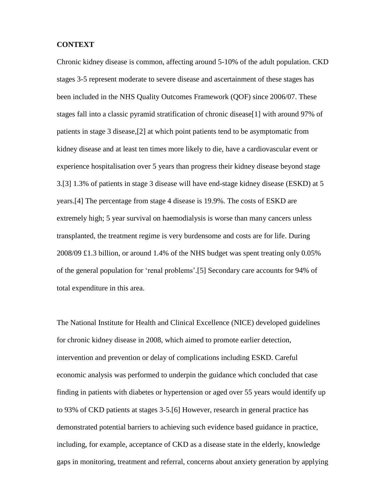#### **CONTEXT**

Chronic kidney disease is common, affecting around 5-10% of the adult population. CKD stages 3-5 represent moderate to severe disease and ascertainment of these stages has been included in the NHS Quality Outcomes Framework (QOF) since 2006/07. These stages fall into a classic pyramid stratification of chronic disease[1] with around 97% of patients in stage 3 disease,[2] at which point patients tend to be asymptomatic from kidney disease and at least ten times more likely to die, have a cardiovascular event or experience hospitalisation over 5 years than progress their kidney disease beyond stage 3.[3] 1.3% of patients in stage 3 disease will have end-stage kidney disease (ESKD) at 5 years.[4] The percentage from stage 4 disease is 19.9%. The costs of ESKD are extremely high; 5 year survival on haemodialysis is worse than many cancers unless transplanted, the treatment regime is very burdensome and costs are for life. During 2008/09 £1.3 billion, or around 1.4% of the NHS budget was spent treating only 0.05% of the general population for 'renal problems'.[5] Secondary care accounts for 94% of total expenditure in this area.

The National Institute for Health and Clinical Excellence (NICE) developed guidelines for chronic kidney disease in 2008, which aimed to promote earlier detection, intervention and prevention or delay of complications including ESKD. Careful economic analysis was performed to underpin the guidance which concluded that case finding in patients with diabetes or hypertension or aged over 55 years would identify up to 93% of CKD patients at stages 3-5.[6] However, research in general practice has demonstrated potential barriers to achieving such evidence based guidance in practice, including, for example, acceptance of CKD as a disease state in the elderly, knowledge gaps in monitoring, treatment and referral, concerns about anxiety generation by applying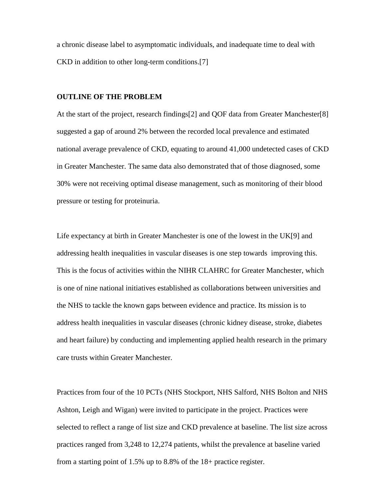a chronic disease label to asymptomatic individuals, and inadequate time to deal with CKD in addition to other long-term conditions.[7]

#### **OUTLINE OF THE PROBLEM**

At the start of the project, research findings[2] and QOF data from Greater Manchester[8] suggested a gap of around 2% between the recorded local prevalence and estimated national average prevalence of CKD, equating to around 41,000 undetected cases of CKD in Greater Manchester. The same data also demonstrated that of those diagnosed, some 30% were not receiving optimal disease management, such as monitoring of their blood pressure or testing for proteinuria.

Life expectancy at birth in Greater Manchester is one of the lowest in the UK[9] and addressing health inequalities in vascular diseases is one step towards improving this. This is the focus of activities within the NIHR CLAHRC for Greater Manchester, which is one of nine national initiatives established as collaborations between universities and the NHS to tackle the known gaps between evidence and practice. Its mission is to address health inequalities in vascular diseases (chronic kidney disease, stroke, diabetes and heart failure) by conducting and implementing applied health research in the primary care trusts within Greater Manchester.

Practices from four of the 10 PCTs (NHS Stockport, NHS Salford, NHS Bolton and NHS Ashton, Leigh and Wigan) were invited to participate in the project. Practices were selected to reflect a range of list size and CKD prevalence at baseline. The list size across practices ranged from 3,248 to 12,274 patients, whilst the prevalence at baseline varied from a starting point of 1.5% up to 8.8% of the 18+ practice register.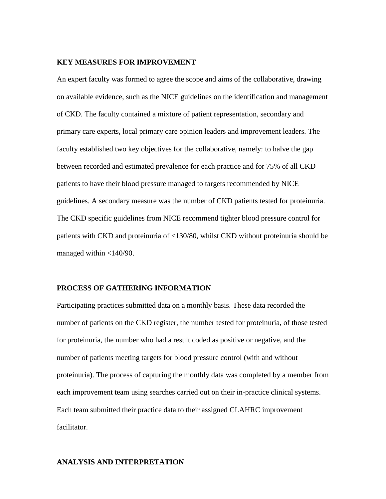## **KEY MEASURES FOR IMPROVEMENT**

An expert faculty was formed to agree the scope and aims of the collaborative, drawing on available evidence, such as the NICE guidelines on the identification and management of CKD. The faculty contained a mixture of patient representation, secondary and primary care experts, local primary care opinion leaders and improvement leaders. The faculty established two key objectives for the collaborative, namely: to halve the gap between recorded and estimated prevalence for each practice and for 75% of all CKD patients to have their blood pressure managed to targets recommended by NICE guidelines. A secondary measure was the number of CKD patients tested for proteinuria. The CKD specific guidelines from NICE recommend tighter blood pressure control for patients with CKD and proteinuria of <130/80, whilst CKD without proteinuria should be managed within <140/90.

#### **PROCESS OF GATHERING INFORMATION**

Participating practices submitted data on a monthly basis. These data recorded the number of patients on the CKD register, the number tested for proteinuria, of those tested for proteinuria, the number who had a result coded as positive or negative, and the number of patients meeting targets for blood pressure control (with and without proteinuria). The process of capturing the monthly data was completed by a member from each improvement team using searches carried out on their in-practice clinical systems. Each team submitted their practice data to their assigned CLAHRC improvement facilitator.

### **ANALYSIS AND INTERPRETATION**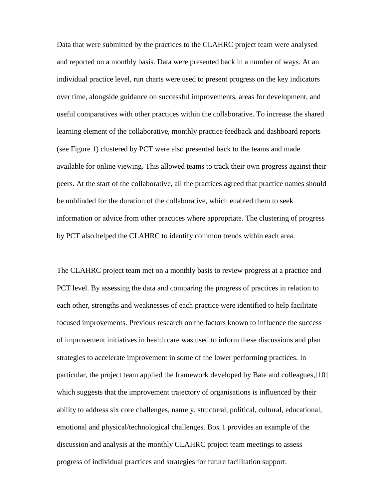Data that were submitted by the practices to the CLAHRC project team were analysed and reported on a monthly basis. Data were presented back in a number of ways. At an individual practice level, run charts were used to present progress on the key indicators over time, alongside guidance on successful improvements, areas for development, and useful comparatives with other practices within the collaborative. To increase the shared learning element of the collaborative, monthly practice feedback and dashboard reports (see Figure 1) clustered by PCT were also presented back to the teams and made available for online viewing. This allowed teams to track their own progress against their peers. At the start of the collaborative, all the practices agreed that practice names should be unblinded for the duration of the collaborative, which enabled them to seek information or advice from other practices where appropriate. The clustering of progress by PCT also helped the CLAHRC to identify common trends within each area.

The CLAHRC project team met on a monthly basis to review progress at a practice and PCT level. By assessing the data and comparing the progress of practices in relation to each other, strengths and weaknesses of each practice were identified to help facilitate focused improvements. Previous research on the factors known to influence the success of improvement initiatives in health care was used to inform these discussions and plan strategies to accelerate improvement in some of the lower performing practices. In particular, the project team applied the framework developed by Bate and colleagues,[10] which suggests that the improvement trajectory of organisations is influenced by their ability to address six core challenges, namely, structural, political, cultural, educational, emotional and physical/technological challenges. Box 1 provides an example of the discussion and analysis at the monthly CLAHRC project team meetings to assess progress of individual practices and strategies for future facilitation support.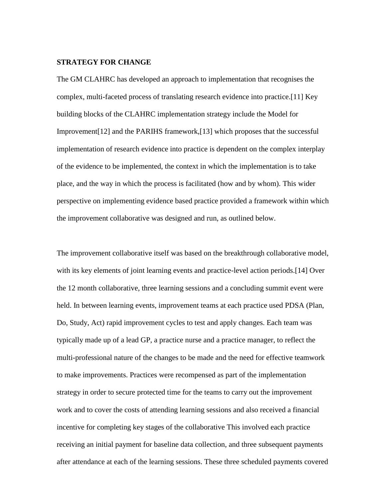## **STRATEGY FOR CHANGE**

The GM CLAHRC has developed an approach to implementation that recognises the complex, multi-faceted process of translating research evidence into practice.[11] Key building blocks of the CLAHRC implementation strategy include the Model for Improvement[12] and the PARIHS framework,[13] which proposes that the successful implementation of research evidence into practice is dependent on the complex interplay of the evidence to be implemented, the context in which the implementation is to take place, and the way in which the process is facilitated (how and by whom). This wider perspective on implementing evidence based practice provided a framework within which the improvement collaborative was designed and run, as outlined below.

The improvement collaborative itself was based on the breakthrough collaborative model, with its key elements of joint learning events and practice-level action periods.[14] Over the 12 month collaborative, three learning sessions and a concluding summit event were held. In between learning events, improvement teams at each practice used PDSA (Plan, Do, Study, Act) rapid improvement cycles to test and apply changes. Each team was typically made up of a lead GP, a practice nurse and a practice manager, to reflect the multi-professional nature of the changes to be made and the need for effective teamwork to make improvements. Practices were recompensed as part of the implementation strategy in order to secure protected time for the teams to carry out the improvement work and to cover the costs of attending learning sessions and also received a financial incentive for completing key stages of the collaborative This involved each practice receiving an initial payment for baseline data collection, and three subsequent payments after attendance at each of the learning sessions. These three scheduled payments covered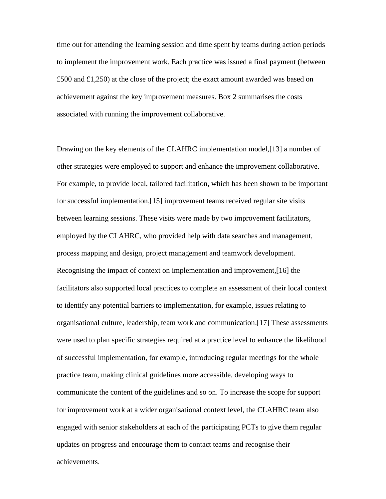time out for attending the learning session and time spent by teams during action periods to implement the improvement work. Each practice was issued a final payment (between £500 and £1,250) at the close of the project; the exact amount awarded was based on achievement against the key improvement measures. Box 2 summarises the costs associated with running the improvement collaborative.

Drawing on the key elements of the CLAHRC implementation model,[13] a number of other strategies were employed to support and enhance the improvement collaborative. For example, to provide local, tailored facilitation, which has been shown to be important for successful implementation,[15] improvement teams received regular site visits between learning sessions. These visits were made by two improvement facilitators, employed by the CLAHRC, who provided help with data searches and management, process mapping and design, project management and teamwork development. Recognising the impact of context on implementation and improvement,[16] the facilitators also supported local practices to complete an assessment of their local context to identify any potential barriers to implementation, for example, issues relating to organisational culture, leadership, team work and communication.[17] These assessments were used to plan specific strategies required at a practice level to enhance the likelihood of successful implementation, for example, introducing regular meetings for the whole practice team, making clinical guidelines more accessible, developing ways to communicate the content of the guidelines and so on. To increase the scope for support for improvement work at a wider organisational context level, the CLAHRC team also engaged with senior stakeholders at each of the participating PCTs to give them regular updates on progress and encourage them to contact teams and recognise their achievements.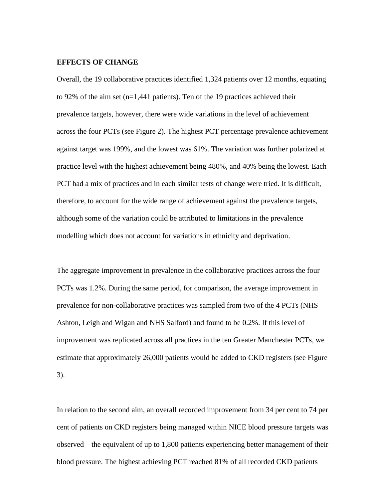## **EFFECTS OF CHANGE**

Overall, the 19 collaborative practices identified 1,324 patients over 12 months, equating to 92% of the aim set (n=1,441 patients). Ten of the 19 practices achieved their prevalence targets, however, there were wide variations in the level of achievement across the four PCTs (see Figure 2). The highest PCT percentage prevalence achievement against target was 199%, and the lowest was 61%. The variation was further polarized at practice level with the highest achievement being 480%, and 40% being the lowest. Each PCT had a mix of practices and in each similar tests of change were tried. It is difficult, therefore, to account for the wide range of achievement against the prevalence targets, although some of the variation could be attributed to limitations in the prevalence modelling which does not account for variations in ethnicity and deprivation.

The aggregate improvement in prevalence in the collaborative practices across the four PCTs was 1.2%. During the same period, for comparison, the average improvement in prevalence for non-collaborative practices was sampled from two of the 4 PCTs (NHS Ashton, Leigh and Wigan and NHS Salford) and found to be 0.2%. If this level of improvement was replicated across all practices in the ten Greater Manchester PCTs, we estimate that approximately 26,000 patients would be added to CKD registers (see Figure 3).

In relation to the second aim, an overall recorded improvement from 34 per cent to 74 per cent of patients on CKD registers being managed within NICE blood pressure targets was observed – the equivalent of up to 1,800 patients experiencing better management of their blood pressure. The highest achieving PCT reached 81% of all recorded CKD patients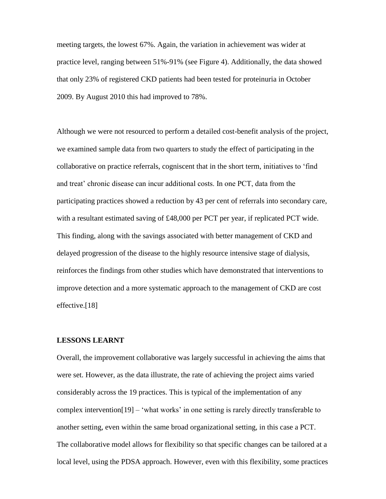meeting targets, the lowest 67%. Again, the variation in achievement was wider at practice level, ranging between 51%-91% (see Figure 4). Additionally, the data showed that only 23% of registered CKD patients had been tested for proteinuria in October 2009. By August 2010 this had improved to 78%.

Although we were not resourced to perform a detailed cost-benefit analysis of the project, we examined sample data from two quarters to study the effect of participating in the collaborative on practice referrals, cogniscent that in the short term, initiatives to 'find and treat' chronic disease can incur additional costs. In one PCT, data from the participating practices showed a reduction by 43 per cent of referrals into secondary care, with a resultant estimated saving of £48,000 per PCT per year, if replicated PCT wide. This finding, along with the savings associated with better management of CKD and delayed progression of the disease to the highly resource intensive stage of dialysis, reinforces the findings from other studies which have demonstrated that interventions to improve detection and a more systematic approach to the management of CKD are cost effective.<sup>[18]</sup>

#### **LESSONS LEARNT**

Overall, the improvement collaborative was largely successful in achieving the aims that were set. However, as the data illustrate, the rate of achieving the project aims varied considerably across the 19 practices. This is typical of the implementation of any complex intervention[19] – 'what works' in one setting is rarely directly transferable to another setting, even within the same broad organizational setting, in this case a PCT. The collaborative model allows for flexibility so that specific changes can be tailored at a local level, using the PDSA approach. However, even with this flexibility, some practices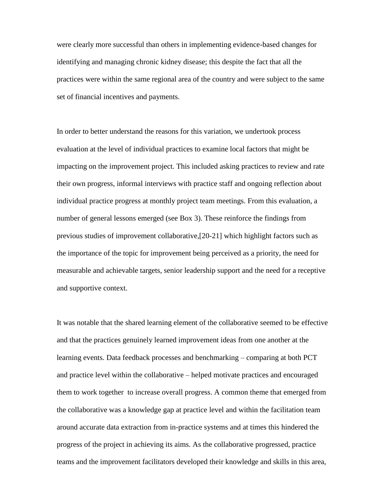were clearly more successful than others in implementing evidence-based changes for identifying and managing chronic kidney disease; this despite the fact that all the practices were within the same regional area of the country and were subject to the same set of financial incentives and payments.

In order to better understand the reasons for this variation, we undertook process evaluation at the level of individual practices to examine local factors that might be impacting on the improvement project. This included asking practices to review and rate their own progress, informal interviews with practice staff and ongoing reflection about individual practice progress at monthly project team meetings. From this evaluation, a number of general lessons emerged (see Box 3). These reinforce the findings from previous studies of improvement collaborative,[20-21] which highlight factors such as the importance of the topic for improvement being perceived as a priority, the need for measurable and achievable targets, senior leadership support and the need for a receptive and supportive context.

It was notable that the shared learning element of the collaborative seemed to be effective and that the practices genuinely learned improvement ideas from one another at the learning events. Data feedback processes and benchmarking – comparing at both PCT and practice level within the collaborative – helped motivate practices and encouraged them to work together to increase overall progress. A common theme that emerged from the collaborative was a knowledge gap at practice level and within the facilitation team around accurate data extraction from in-practice systems and at times this hindered the progress of the project in achieving its aims. As the collaborative progressed, practice teams and the improvement facilitators developed their knowledge and skills in this area,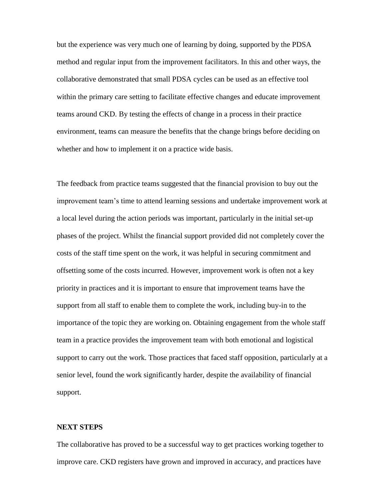but the experience was very much one of learning by doing, supported by the PDSA method and regular input from the improvement facilitators. In this and other ways, the collaborative demonstrated that small PDSA cycles can be used as an effective tool within the primary care setting to facilitate effective changes and educate improvement teams around CKD. By testing the effects of change in a process in their practice environment, teams can measure the benefits that the change brings before deciding on whether and how to implement it on a practice wide basis.

The feedback from practice teams suggested that the financial provision to buy out the improvement team's time to attend learning sessions and undertake improvement work at a local level during the action periods was important, particularly in the initial set-up phases of the project. Whilst the financial support provided did not completely cover the costs of the staff time spent on the work, it was helpful in securing commitment and offsetting some of the costs incurred. However, improvement work is often not a key priority in practices and it is important to ensure that improvement teams have the support from all staff to enable them to complete the work, including buy-in to the importance of the topic they are working on. Obtaining engagement from the whole staff team in a practice provides the improvement team with both emotional and logistical support to carry out the work. Those practices that faced staff opposition, particularly at a senior level, found the work significantly harder, despite the availability of financial support.

#### **NEXT STEPS**

The collaborative has proved to be a successful way to get practices working together to improve care. CKD registers have grown and improved in accuracy, and practices have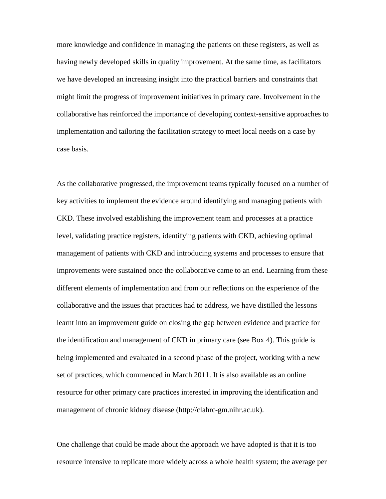more knowledge and confidence in managing the patients on these registers, as well as having newly developed skills in quality improvement. At the same time, as facilitators we have developed an increasing insight into the practical barriers and constraints that might limit the progress of improvement initiatives in primary care. Involvement in the collaborative has reinforced the importance of developing context-sensitive approaches to implementation and tailoring the facilitation strategy to meet local needs on a case by case basis.

As the collaborative progressed, the improvement teams typically focused on a number of key activities to implement the evidence around identifying and managing patients with CKD. These involved establishing the improvement team and processes at a practice level, validating practice registers, identifying patients with CKD, achieving optimal management of patients with CKD and introducing systems and processes to ensure that improvements were sustained once the collaborative came to an end. Learning from these different elements of implementation and from our reflections on the experience of the collaborative and the issues that practices had to address, we have distilled the lessons learnt into an improvement guide on closing the gap between evidence and practice for the identification and management of CKD in primary care (see Box 4). This guide is being implemented and evaluated in a second phase of the project, working with a new set of practices, which commenced in March 2011. It is also available as an online resource for other primary care practices interested in improving the identification and management of chronic kidney disease (http://clahrc-gm.nihr.ac.uk).

One challenge that could be made about the approach we have adopted is that it is too resource intensive to replicate more widely across a whole health system; the average per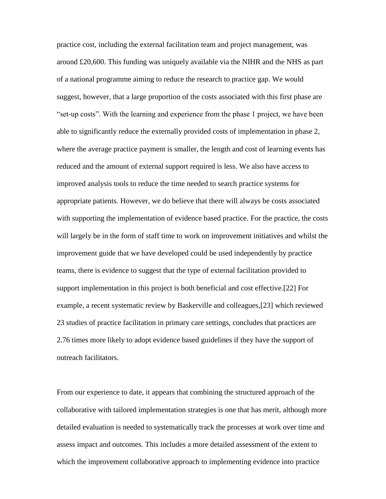practice cost, including the external facilitation team and project management, was around £20,600. This funding was uniquely available via the NIHR and the NHS as part of a national programme aiming to reduce the research to practice gap. We would suggest, however, that a large proportion of the costs associated with this first phase are "set-up costs". With the learning and experience from the phase 1 project, we have been able to significantly reduce the externally provided costs of implementation in phase 2, where the average practice payment is smaller, the length and cost of learning events has reduced and the amount of external support required is less. We also have access to improved analysis tools to reduce the time needed to search practice systems for appropriate patients. However, we do believe that there will always be costs associated with supporting the implementation of evidence based practice. For the practice, the costs will largely be in the form of staff time to work on improvement initiatives and whilst the improvement guide that we have developed could be used independently by practice teams, there is evidence to suggest that the type of external facilitation provided to support implementation in this project is both beneficial and cost effective.[22] For example, a recent systematic review by Baskerville and colleagues,[23] which reviewed 23 studies of practice facilitation in primary care settings, concludes that practices are 2.76 times more likely to adopt evidence based guidelines if they have the support of outreach facilitators.

From our experience to date, it appears that combining the structured approach of the collaborative with tailored implementation strategies is one that has merit, although more detailed evaluation is needed to systematically track the processes at work over time and assess impact and outcomes. This includes a more detailed assessment of the extent to which the improvement collaborative approach to implementing evidence into practice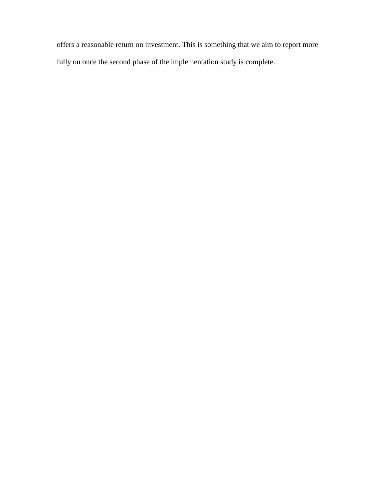offers a reasonable return on investment. This is something that we aim to report more fully on once the second phase of the implementation study is complete.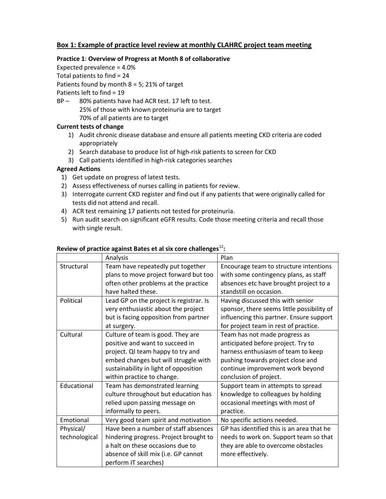## **Box 1: Example of practice level review at monthly CLAHRC project team meeting**

### **Practice 1**: **Overview of Progress at Month 8 of collaborative**

Expected prevalence = 4.0% Total patients to find = 24 Patients found by month 8 = 5; 21% of target

Patients left to find = 19

BP - 80% patients have had ACR test. 17 left to test. 25% of those with known proteinuria are to target 70% of all patients are to target

#### **Current tests of change**

- 1) Audit chronic disease database and ensure all patients meeting CKD criteria are coded appropriately
- 2) Search database to produce list of high-risk patients to screen for CKD
- 3) Call patients identified in high-risk categories searches

## **Agreed Actions**

- 1) Get update on progress of latest tests.
- 2) Assess effectiveness of nurses calling in patients for review.
- 3) Interrogate current CKD register and find out if any patients that were originally called for tests did not attend and recall.
- 4) ACR test remaining 17 patients not tested for proteinuria.
- 5) Run audit search on significant eGFR results. Code those meeting criteria and recall those with single result.

|               | Analysis                                | Plan                                       |
|---------------|-----------------------------------------|--------------------------------------------|
| Structural    | Team have repeatedly put together       | Encourage team to structure intentions     |
|               | plans to move project forward but too   | with some contingency plans, as staff      |
|               | often other problems at the practice    | absences etc have brought project to a     |
|               | have halted these.                      | standstill on occasion.                    |
| Political     | Lead GP on the project is registrar. Is | Having discussed this with senior          |
|               | very enthusiastic about the project     | sponsor, there seems little possibility of |
|               | but is facing opposition from partner   | influencing this partner. Ensure support   |
|               | at surgery.                             | for project team in rest of practice.      |
| Cultural      | Culture of team is good. They are       | Team has not made progress as              |
|               | positive and want to succeed in         | anticipated before project. Try to         |
|               | project. QI team happy to try and       | harness enthusiasm of team to keep         |
|               | embed changes but will struggle with    | pushing towards project close and          |
|               | sustainability in light of opposition   | continue improvement work beyond           |
|               | within practice to change.              | conclusion of project.                     |
| Educational   | Team has demonstrated learning          | Support team in attempts to spread         |
|               | culture throughout but education has    | knowledge to colleagues by holding         |
|               | relied upon passing message on          | occasional meetings with most of           |
|               | informally to peers.                    | practice.                                  |
| Emotional     | Very good team spirit and motivation    | No specific actions needed.                |
| Physical/     | Have been a number of staff absences    | GP has identified this is an area that he  |
| technological | hindering progress. Project brought to  | needs to work on. Support team so that     |
|               | a halt on these occasions due to        | they are able to overcome obstacles        |
|               | absence of skill mix (i.e. GP cannot    | more effectively.                          |
|               | perform IT searches)                    |                                            |

### **Review of practice against Bates et al six core challenges**<sup>12</sup>**:**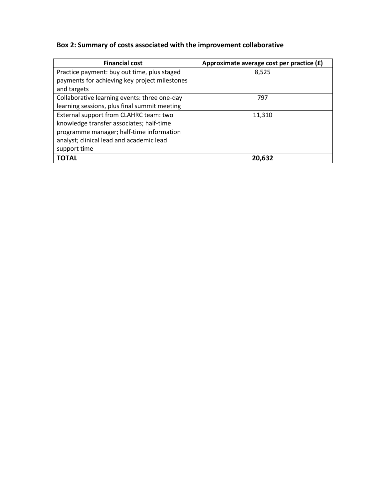## **Box 2: Summary of costs associated with the improvement collaborative**

| <b>Financial cost</b>                         | Approximate average cost per practice (£) |
|-----------------------------------------------|-------------------------------------------|
| Practice payment: buy out time, plus staged   | 8,525                                     |
| payments for achieving key project milestones |                                           |
| and targets                                   |                                           |
| Collaborative learning events: three one-day  | 797                                       |
| learning sessions, plus final summit meeting  |                                           |
| External support from CLAHRC team: two        | 11,310                                    |
| knowledge transfer associates; half-time      |                                           |
| programme manager; half-time information      |                                           |
| analyst; clinical lead and academic lead      |                                           |
| support time                                  |                                           |
| <b>TOTAL</b>                                  | 20.632                                    |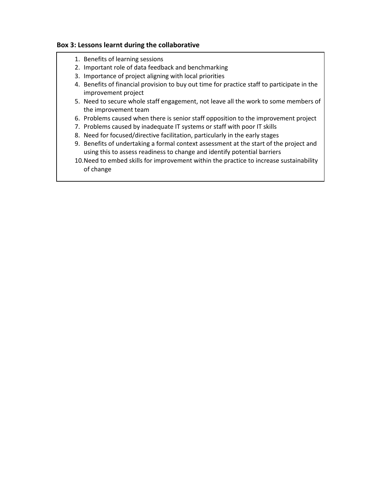## **Box 3: Lessons learnt during the collaborative**

- 1. Benefits of learning sessions
- 2. Important role of data feedback and benchmarking
- 3. Importance of project aligning with local priorities
- 4. Benefits of financial provision to buy out time for practice staff to participate in the improvement project
- 5. Need to secure whole staff engagement, not leave all the work to some members of the improvement team
- 6. Problems caused when there is senior staff opposition to the improvement project
- 7. Problems caused by inadequate IT systems or staff with poor IT skills
- 8. Need for focused/directive facilitation, particularly in the early stages
- 9. Benefits of undertaking a formal context assessment at the start of the project and using this to assess readiness to change and identify potential barriers
- 10.Need to embed skills for improvement within the practice to increase sustainability of change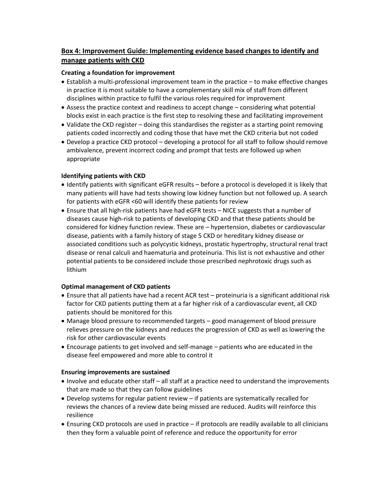## **Box 4: Improvement Guide: Implementing evidence based changes to identify and manage patients with CKD**

#### **Creating a foundation for improvement**

- Establish a multi-professional improvement team in the practice to make effective changes in practice it is most suitable to have a complementary skill mix of staff from different disciplines within practice to fulfil the various roles required for improvement
- Assess the practice context and readiness to accept change considering what potential blocks exist in each practice is the first step to resolving these and facilitating improvement
- Validate the CKD register doing this standardises the register as a starting point removing patients coded incorrectly and coding those that have met the CKD criteria but not coded
- Develop a practice CKD protocol developing a protocol for all staff to follow should remove ambivalence, prevent incorrect coding and prompt that tests are followed up when appropriate

### **Identifying patients with CKD**

- Identify patients with significant eGFR results before a protocol is developed it is likely that many patients will have had tests showing low kidney function but not followed up. A search for patients with eGFR <60 will identify these patients for review
- Ensure that all high-risk patients have had eGFR tests NICE suggests that a number of diseases cause high-risk to patients of developing CKD and that these patients should be considered for kidney function review. These are – hypertension, diabetes or cardiovascular disease, patients with a family history of stage 5 CKD or hereditary kidney disease or associated conditions such as polycystic kidneys, prostatic hypertrophy, structural renal tract disease or renal calculi and haematuria and proteinuria. This list is not exhaustive and other potential patients to be considered include those prescribed nephrotoxic drugs such as lithium

## **Optimal management of CKD patients**

- Ensure that all patients have had a recent ACR test proteinuria is a significant additional risk factor for CKD patients putting them at a far higher risk of a cardiovascular event, all CKD patients should be monitored for this
- Manage blood pressure to recommended targets good management of blood pressure relieves pressure on the kidneys and reduces the progression of CKD as well as lowering the risk for other cardiovascular events
- Encourage patients to get involved and self-manage patients who are educated in the disease feel empowered and more able to control it

#### **Ensuring improvements are sustained**

- Involve and educate other staff all staff at a practice need to understand the improvements that are made so that they can follow guidelines
- Develop systems for regular patient review if patients are systematically recalled for reviews the chances of a review date being missed are reduced. Audits will reinforce this resilience
- Ensuring CKD protocols are used in practice if protocols are readily available to all clinicians then they form a valuable point of reference and reduce the opportunity for error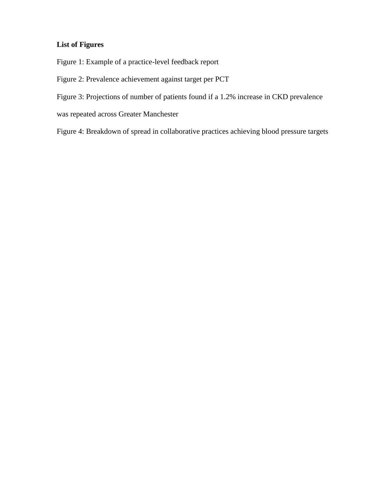# **List of Figures**

Figure 1: Example of a practice-level feedback report

Figure 2: Prevalence achievement against target per PCT

Figure 3: Projections of number of patients found if a 1.2% increase in CKD prevalence

was repeated across Greater Manchester

Figure 4: Breakdown of spread in collaborative practices achieving blood pressure targets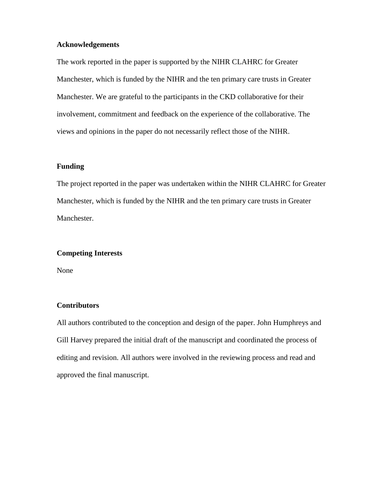#### **Acknowledgements**

The work reported in the paper is supported by the NIHR CLAHRC for Greater Manchester, which is funded by the NIHR and the ten primary care trusts in Greater Manchester. We are grateful to the participants in the CKD collaborative for their involvement, commitment and feedback on the experience of the collaborative. The views and opinions in the paper do not necessarily reflect those of the NIHR.

### **Funding**

The project reported in the paper was undertaken within the NIHR CLAHRC for Greater Manchester, which is funded by the NIHR and the ten primary care trusts in Greater Manchester.

## **Competing Interests**

None

## **Contributors**

All authors contributed to the conception and design of the paper. John Humphreys and Gill Harvey prepared the initial draft of the manuscript and coordinated the process of editing and revision. All authors were involved in the reviewing process and read and approved the final manuscript.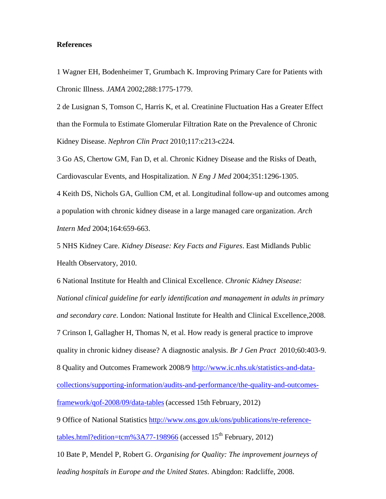#### **References**

1 Wagner EH, Bodenheimer T, Grumbach K. Improving Primary Care for Patients with Chronic Illness. *JAMA* 2002;288:1775-1779.

2 de Lusignan S, Tomson C, Harris K, et al*.* Creatinine Fluctuation Has a Greater Effect than the Formula to Estimate Glomerular Filtration Rate on the Prevalence of Chronic Kidney Disease. *Nephron Clin Pract* 2010;117:c213-c224.

3 Go AS, Chertow GM, Fan D, et al. Chronic Kidney Disease and the Risks of Death, Cardiovascular Events, and Hospitalization. *N Eng J Med* 2004;351:1296-1305.

4 Keith DS, Nichols GA, Gullion CM, et al. Longitudinal follow-up and outcomes among a population with chronic kidney disease in a large managed care organization. *Arch Intern Med* 2004;164:659-663.

5 NHS Kidney Care. *Kidney Disease: Key Facts and Figures*. East Midlands Public Health Observatory, 2010.

6 National Institute for Health and Clinical Excellence. *Chronic Kidney Disease: National clinical guideline for early identification and management in adults in primary and secondary care*. London: National Institute for Health and Clinical Excellence,2008. 7 Crinson I, Gallagher H, Thomas N, et al. How ready is general practice to improve quality in chronic kidney disease? A diagnostic analysis. *Br J Gen Pract* 2010;60:403-9. 8 Quality and Outcomes Framework 2008/9 [http://www.ic.nhs.uk/statistics-and-data](http://www.ic.nhs.uk/statistics-and-data-collections/supporting-information/audits-and-performance/the-quality-and-outcomes-framework/qof-2008/09/data-tables)[collections/supporting-information/audits-and-performance/the-quality-and-outcomes](http://www.ic.nhs.uk/statistics-and-data-collections/supporting-information/audits-and-performance/the-quality-and-outcomes-framework/qof-2008/09/data-tables)[framework/qof-2008/09/data-tables\(](http://www.ic.nhs.uk/statistics-and-data-collections/supporting-information/audits-and-performance/the-quality-and-outcomes-framework/qof-2008/09/data-tables)accessed 15th February, 2012)

9 Office of National Statistics [http://www.ons.gov.uk/ons/publications/re-reference-](http://www.ons.gov.uk/ons/publications/re-reference-tables.html?edition=tcm%3A77-198966)

[tables.html?edition=tcm%3A77-198966](http://www.ons.gov.uk/ons/publications/re-reference-tables.html?edition=tcm%3A77-198966) (accessed  $15<sup>th</sup>$  February, 2012)

10 Bate P, Mendel P, Robert G. *Organising for Quality: The improvement journeys of leading hospitals in Europe and the United States*. Abingdon: Radcliffe, 2008.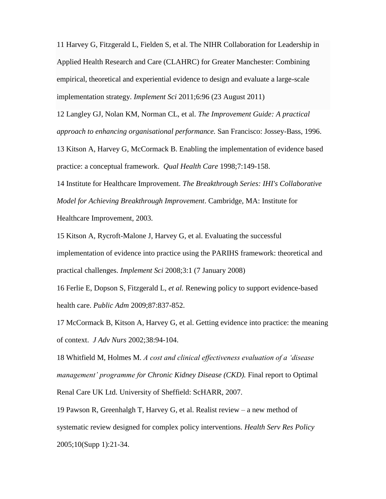11 Harvey G, Fitzgerald L, Fielden S, et al. The NIHR Collaboration for Leadership in Applied Health Research and Care (CLAHRC) for Greater Manchester: Combining empirical, theoretical and experiential evidence to design and evaluate a large-scale implementation strategy. *Implement Sci* 2011;6:96 (23 August 2011)

12 Langley GJ, Nolan KM, Norman CL, et al. *The Improvement Guide: A practical approach to enhancing organisational performance.* San Francisco: Jossey-Bass, 1996.

13 Kitson A, Harvey G, McCormack B. Enabling the implementation of evidence based practice: a conceptual framework. *Qual Health Care* 1998;7:149-158.

14 Institute for Healthcare Improvement. *The Breakthrough Series: IHI's Collaborative Model for Achieving Breakthrough Improvement*. Cambridge, MA: Institute for Healthcare Improvement, 2003.

15 Kitson A, Rycroft-Malone J, Harvey G, et al. Evaluating the successful implementation of evidence into practice using the PARIHS framework: theoretical and practical challenges. *Implement Sci* 2008;3:1 (7 January 2008)

16 Ferlie E, Dopson S, Fitzgerald L*, et al.* Renewing policy to support evidence-based health care. *Public Adm* 2009;87:837-852.

17 McCormack B, Kitson A, Harvey G, et al. Getting evidence into practice: the meaning of context. *J Adv Nurs* 2002;38:94-104.

18 Whitfield M, Holmes M. *A cost and clinical effectiveness evaluation of a 'disease management' programme for Chronic Kidney Disease (CKD).* Final report to Optimal Renal Care UK Ltd. University of Sheffield: ScHARR, 2007.

19 Pawson R, Greenhalgh T, Harvey G, et al. Realist review – a new method of systematic review designed for complex policy interventions. *Health Serv Res Policy*  2005;10(Supp 1):21-34.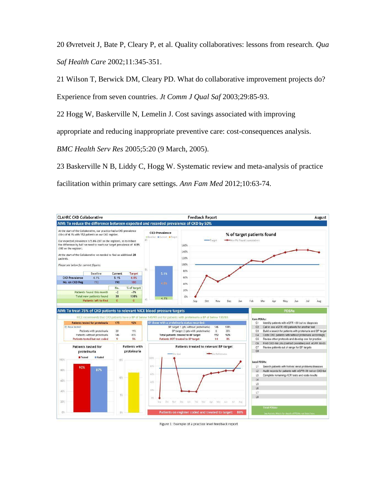20 Øvretveit J, Bate P, Cleary P, et al. Quality collaboratives: lessons from research. *Qua Saf Health Care* 2002;11:345-351.

21 Wilson T, Berwick DM, Cleary PD. What do collaborative improvement projects do? Experience from seven countries. *Jt Comm J Qual Saf* 2003;29:85-93.

22 Hogg W, Baskerville N, Lemelin J. Cost savings associated with improving

appropriate and reducing inappropriate preventive care: cost-consequences analysis.

*BMC Health Serv Res* 2005;5:20 (9 March, 2005).

23 Baskerville N B, Liddy C, Hogg W. Systematic review and meta-analysis of practice facilitation within primary care settings. *Ann Fam Med* 2012;10:63-74.



Figure 1: Example of a practice level feedback report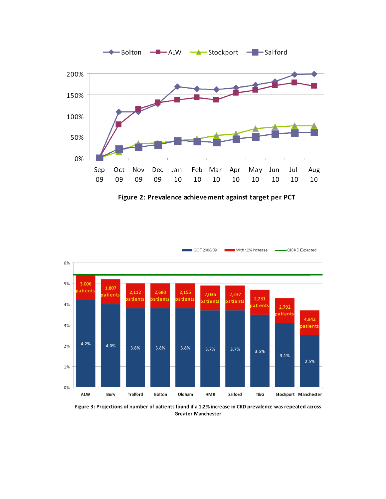

Figure 2: Prevalence achievement against target per PCT



Figure 3: Projections of number of patients found if a 1.2% increase in CKD prevalence was repeated across **Greater Manchester**